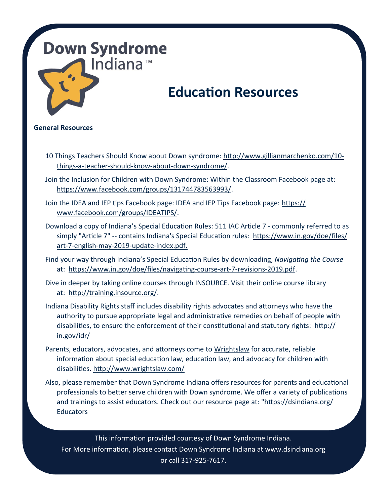### **Down Syndrome** Indiana™

## **Education Resources**

### **General Resources**

- 10 Things Teachers Should Know about Down syndrome: [http://www.gillianmarchenko.com/10](http://www.gillianmarchenko.com/10-things-a-teacher-should-know-about-down-syndrome/) things-a-teacher-should-know-about-down-[syndrome/.](http://www.gillianmarchenko.com/10-things-a-teacher-should-know-about-down-syndrome/)
- Join the Inclusion for Children with Down Syndrome: Within the Classroom Facebook page at: [https://www.facebook.com/groups/131744783563993/.](https://www.facebook.com/groups/131744783563993/)
- Join the IDEA and IEP tips Facebook page: IDEA and IEP Tips Facebook page: [https://](https://www.facebook.com/groups/IDEATIPS/) [www.facebook.com/groups/IDEATIPS/.](https://www.facebook.com/groups/IDEATIPS/)
- Download a copy of Indiana's Special Education Rules: 511 IAC Article 7 commonly referred to as simply "Article 7" -- contains Indiana's Special Education rules: https://www.in.gov/doe/files/ art-7-english-may-2019-update-index.pdf.
- Find your way through Indiana's Special Education Rules by downloading, *Navigating the Course* at: https://www.in.gov/doe/files/navigating-course-art-7-revisions-2019.pdf.
- Dive in deeper by taking online courses through INSOURCE. Visit their online course library at: [http://training.insource.org/.](http://training.insource.org/)
- Indiana Disability Rights staff includes disability rights advocates and attorneys who have the authority to pursue appropriate legal and administrative remedies on behalf of people with disabilities, to ensure the enforcement of their constitutional and statutory rights: http:// in.gov/idr/
- Parents, educators, advocates, and attorneys come to [Wrightslaw](http://www.wrightslaw.com/) for accurate, reliable information about special education law, education law, and advocacy for children with disabilities.<http://www.wrightslaw.com/>
- Also, please remember that Down Syndrome Indiana offers resources for parents and educational professionals to better serve children with Down syndrome. We offer a variety of publications and trainings to assist educators. Check out our resource page at: "https://dsindiana.org/ **Educators**

This information provided courtesy of Down Syndrome Indiana. For More information, please contact Down Syndrome Indiana at www.dsindiana.org or call 317-925-7617.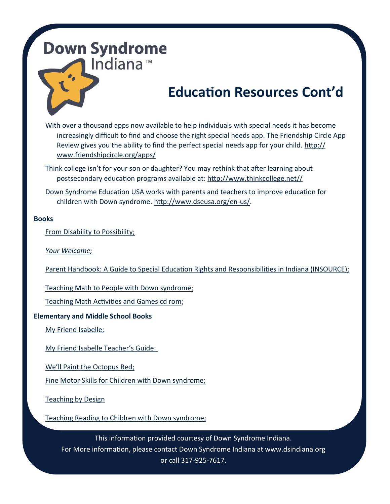## **Down Syndrome** Indiana<sup>™</sup>

# **Education Resources Cont'd**

With over a thousand apps now available to help individuals with special needs it has become increasingly difficult to find and choose the right special needs app. The Friendship Circle App Review gives you the ability to find the perfect special needs app for your child. [http://](http://www.friendshipcircle.org/apps/) [www.friendshipcircle.org/apps/](http://www.friendshipcircle.org/apps/)

Think college isn't for your son or daughter? You may rethink that after learning about postsecondary education programs available at: [http://www.thinkcollege.net//](http://www.thinkcollege.net/)

Down Syndrome Education USA works with parents and teachers to improve education for children with Down syndrome. [http://www.dseusa.org/en](http://www.dseusa.org/en-us/)-us/.

#### **Books**

[From Disability to Possibility;](http://www.amazon.com/From-Disability-Possibility-Inclusive-Classrooms/dp/0325009937)

*[Your Welcome;](http://www.amazon.com/Youre-Welcome-Innovative-Inclusive-Classroom/dp/0325052964)*

[Parent Handbook: A Guide to Special Education Rights and Responsibilities in Indiana \(INSOURCE\);](http://www.directionservice.org/cadre/parent/artifacts/INSOURCE-1%20Parenthandbook.pdf)

[Teaching Math to People with Down syndrome;](http://www.amazon.com/Teaching-People-Syndrome-Hands-On-Learners/dp/1890627429)

[Teaching Math Activities and Games cd rom;](http://www.amazon.com/Teaching-Math-Activities-Games-CD-ROM/dp/1890627976)

#### **Elementary and Middle School Books**

[My Friend Isabelle;](http://www.amazon.com/My-Friend-Isabelle-Eliza-Woloson/dp/189062750X)

[My Friend Isabelle Teacher](http://www.woodbinehouse.com/my_friend_isabelle_teachers_guide.pdf)'s Guide:

We'[ll Paint the Octopus Red;](http://www.amazon.com/Well-Paint-Octopus-Stephanie-Stuve-Bodeen/dp/1890627062/ref=sr_1_1?s=books&ie=UTF8&qid=1435606997&sr=1-1&keywords=well+paint+the+octopus+red)

[Fine Motor Skills for Children with Down syndrome;](http://www.amazon.com/Fine-Motor-Skills-Children-Syndrome/dp/1890627674/ref=sr_1_1?s=books&ie=UTF8&qid=1435607032&sr=1-1&keywords=Fine+Motor+Skills+for+Children+with+Down+syndrome%3B)

[Teaching by Design](http://www.amazon.com/Teaching-Design-Computer-Materials-Differences/dp/1890627437/ref=sr_1_1?s=books&ie=UTF8&qid=1435607061&sr=1-1&keywords=Teaching+by+Design)

[Teaching Reading to Children with Down syndrome;](http://www.amazon.com/Teaching-Reading-Children-Down-Syndrome/dp/0933149557/ref=sr_1_1?s=books&ie=UTF8&qid=1435607086&sr=1-1&keywords=Teaching+Reading+to+Children+with+Down+syndrome%3B)

This information provided courtesy of Down Syndrome Indiana. For More information, please contact Down Syndrome Indiana at www.dsindiana.org or call 317-925-7617.